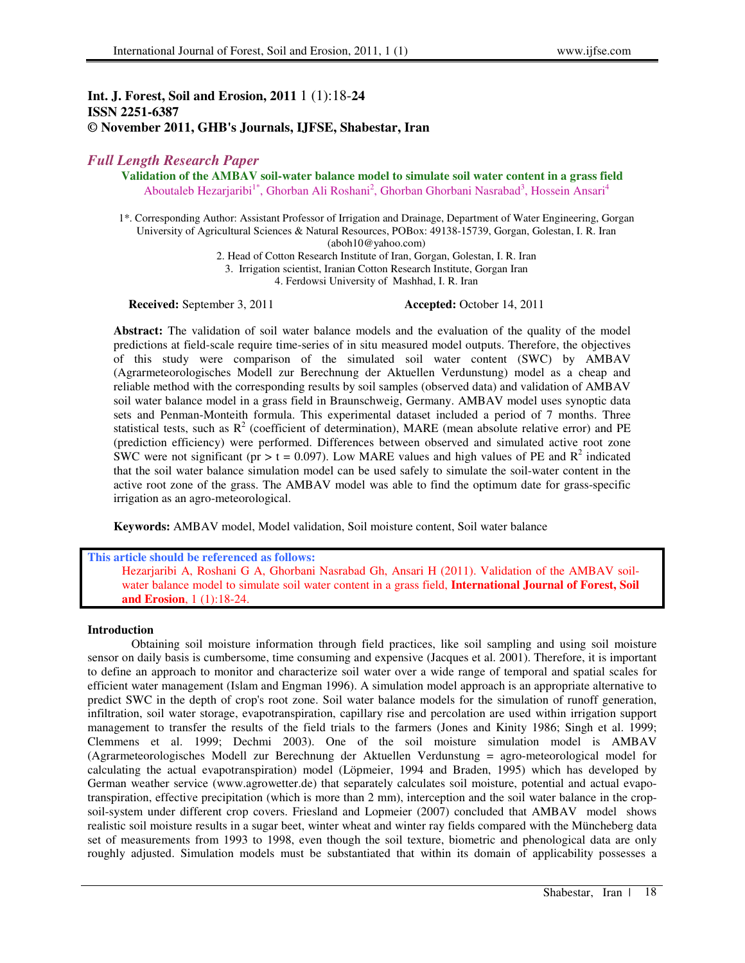## **Int. J. Forest, Soil and Erosion, 2011** 1 (1):18-**24 ISSN 2251-6387 © November 2011, GHB's Journals, IJFSE, Shabestar, Iran**

# *Full Length Research Paper*

**Validation of the AMBAV soil-water balance model to simulate soil water content in a grass field**  Aboutaleb Hezarjaribi<sup>1\*</sup>, Ghorban Ali Roshani<sup>2</sup>, Ghorban Ghorbani Nasrabad<sup>3</sup>, Hossein Ansari<sup>4</sup>

1\*. Corresponding Author: Assistant Professor of Irrigation and Drainage, Department of Water Engineering, Gorgan University of Agricultural Sciences & Natural Resources, POBox: 49138-15739, Gorgan, Golestan, I. R. Iran (aboh10@yahoo.com)

2. Head of Cotton Research Institute of Iran, Gorgan, Golestan, I. R. Iran

3. Irrigation scientist, Iranian Cotton Research Institute, Gorgan Iran

4. Ferdowsi University of Mashhad, I. R. Iran

**Received:** September 3, 2011 **Accepted:** October 14, 2011

**Abstract:** The validation of soil water balance models and the evaluation of the quality of the model predictions at field-scale require time-series of in situ measured model outputs. Therefore, the objectives of this study were comparison of the simulated soil water content (SWC) by AMBAV (Agrarmeteorologisches Modell zur Berechnung der Aktuellen Verdunstung) model as a cheap and reliable method with the corresponding results by soil samples (observed data) and validation of AMBAV soil water balance model in a grass field in Braunschweig, Germany. AMBAV model uses synoptic data sets and Penman-Monteith formula. This experimental dataset included a period of 7 months. Three statistical tests, such as  $R^2$  (coefficient of determination), MARE (mean absolute relative error) and PE (prediction efficiency) were performed. Differences between observed and simulated active root zone SWC were not significant (pr > t = 0.097). Low MARE values and high values of PE and R<sup>2</sup> indicated that the soil water balance simulation model can be used safely to simulate the soil-water content in the active root zone of the grass. The AMBAV model was able to find the optimum date for grass-specific irrigation as an agro-meteorological.

**Keywords:** AMBAV model, Model validation, Soil moisture content, Soil water balance

**This article should be referenced as follows:** 

Hezarjaribi A, Roshani G A, Ghorbani Nasrabad Gh, Ansari H (2011). Validation of the AMBAV soilwater balance model to simulate soil water content in a grass field, **International Journal of Forest, Soil and Erosion**, 1 (1):18-24.

## **Introduction**

Obtaining soil moisture information through field practices, like soil sampling and using soil moisture sensor on daily basis is cumbersome, time consuming and expensive (Jacques et al. 2001). Therefore, it is important to define an approach to monitor and characterize soil water over a wide range of temporal and spatial scales for efficient water management (Islam and Engman 1996). A simulation model approach is an appropriate alternative to predict SWC in the depth of crop's root zone. Soil water balance models for the simulation of runoff generation, infiltration, soil water storage, evapotranspiration, capillary rise and percolation are used within irrigation support management to transfer the results of the field trials to the farmers (Jones and Kinity 1986; Singh et al. 1999; Clemmens et al. 1999; Dechmi 2003). One of the soil moisture simulation model is AMBAV (Agrarmeteorologisches Modell zur Berechnung der Aktuellen Verdunstung = agro-meteorological model for calculating the actual evapotranspiration) model (Löpmeier, 1994 and Braden, 1995) which has developed by German weather service (www.agrowetter.de) that separately calculates soil moisture, potential and actual evapotranspiration, effective precipitation (which is more than 2 mm), interception and the soil water balance in the cropsoil-system under different crop covers. Friesland and Lopmeier (2007) concluded that AMBAV model shows realistic soil moisture results in a sugar beet, winter wheat and winter ray fields compared with the Müncheberg data set of measurements from 1993 to 1998, even though the soil texture, biometric and phenological data are only roughly adjusted. Simulation models must be substantiated that within its domain of applicability possesses a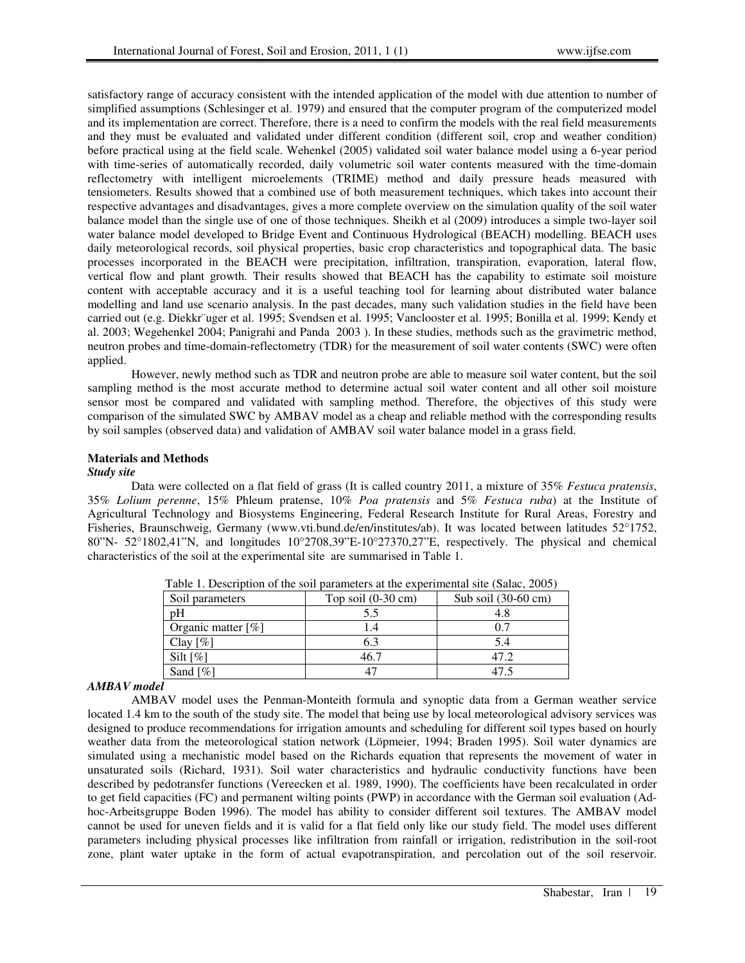satisfactory range of accuracy consistent with the intended application of the model with due attention to number of simplified assumptions (Schlesinger et al. 1979) and ensured that the computer program of the computerized model and its implementation are correct. Therefore, there is a need to confirm the models with the real field measurements and they must be evaluated and validated under different condition (different soil, crop and weather condition) before practical using at the field scale. Wehenkel (2005) validated soil water balance model using a 6-year period with time-series of automatically recorded, daily volumetric soil water contents measured with the time-domain reflectometry with intelligent microelements (TRIME) method and daily pressure heads measured with tensiometers. Results showed that a combined use of both measurement techniques, which takes into account their respective advantages and disadvantages, gives a more complete overview on the simulation quality of the soil water balance model than the single use of one of those techniques. Sheikh et al (2009) introduces a simple two-layer soil water balance model developed to Bridge Event and Continuous Hydrological (BEACH) modelling. BEACH uses daily meteorological records, soil physical properties, basic crop characteristics and topographical data. The basic processes incorporated in the BEACH were precipitation, infiltration, transpiration, evaporation, lateral flow, vertical flow and plant growth. Their results showed that BEACH has the capability to estimate soil moisture content with acceptable accuracy and it is a useful teaching tool for learning about distributed water balance modelling and land use scenario analysis. In the past decades, many such validation studies in the field have been carried out (e.g. Diekkr¨uger et al. 1995; Svendsen et al. 1995; Vanclooster et al. 1995; Bonilla et al. 1999; Kendy et al. 2003; Wegehenkel 2004; Panigrahi and Panda 2003 ). In these studies, methods such as the gravimetric method, neutron probes and time-domain-reflectometry (TDR) for the measurement of soil water contents (SWC) were often applied.

However, newly method such as TDR and neutron probe are able to measure soil water content, but the soil sampling method is the most accurate method to determine actual soil water content and all other soil moisture sensor most be compared and validated with sampling method. Therefore, the objectives of this study were comparison of the simulated SWC by AMBAV model as a cheap and reliable method with the corresponding results by soil samples (observed data) and validation of AMBAV soil water balance model in a grass field.

## **Materials and Methods**

### *Study site*

Data were collected on a flat field of grass (It is called country 2011, a mixture of 35% *Festuca pratensis*, 35% *Lolium perenne*, 15% Phleum pratense, 10% *Poa pratensis* and 5% *Festuca ruba*) at the Institute of Agricultural Technology and Biosystems Engineering, Federal Research Institute for Rural Areas, Forestry and Fisheries, Braunschweig, Germany (www.vti.bund.de/en/institutes/ab). It was located between latitudes 52°1752, 80"N- 52°1802,41"N, and longitudes 10°2708,39"E-10°27370,27"E, respectively. The physical and chemical characteristics of the soil at the experimental site are summarised in Table 1.

| Soil parameters    | Top soil $(0-30 \text{ cm})$ | Sub soil (30-60 cm) |  |  |
|--------------------|------------------------------|---------------------|--|--|
| pH                 | 5.5                          | 4.8                 |  |  |
| Organic matter [%] |                              | 0.7                 |  |  |
| Clay $[\%]$        | 6.3                          | 5.4                 |  |  |
| Silt $[\%]$        | 46.7                         | 47 2.               |  |  |
| Sand $[\%]$        |                              |                     |  |  |

Table 1. Description of the soil parameters at the experimental site (Salac, 2005)

## *AMBAV model*

AMBAV model uses the Penman-Monteith formula and synoptic data from a German weather service located 1.4 km to the south of the study site. The model that being use by local meteorological advisory services was designed to produce recommendations for irrigation amounts and scheduling for different soil types based on hourly weather data from the meteorological station network (Löpmeier, 1994; Braden 1995). Soil water dynamics are simulated using a mechanistic model based on the Richards equation that represents the movement of water in unsaturated soils (Richard, 1931). Soil water characteristics and hydraulic conductivity functions have been described by pedotransfer functions (Vereecken et al. 1989, 1990). The coefficients have been recalculated in order to get field capacities (FC) and permanent wilting points (PWP) in accordance with the German soil evaluation (Adhoc-Arbeitsgruppe Boden 1996). The model has ability to consider different soil textures. The AMBAV model cannot be used for uneven fields and it is valid for a flat field only like our study field. The model uses different parameters including physical processes like infiltration from rainfall or irrigation, redistribution in the soil-root zone, plant water uptake in the form of actual evapotranspiration, and percolation out of the soil reservoir.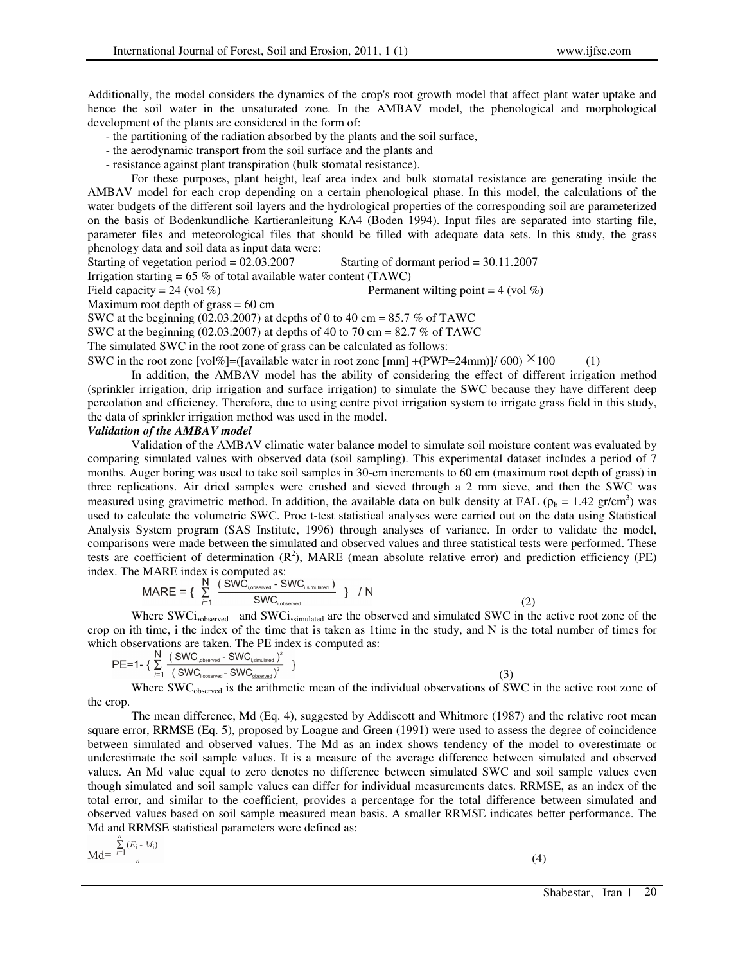Additionally, the model considers the dynamics of the crop's root growth model that affect plant water uptake and hence the soil water in the unsaturated zone. In the AMBAV model, the phenological and morphological development of the plants are considered in the form of:

- the partitioning of the radiation absorbed by the plants and the soil surface,
- the aerodynamic transport from the soil surface and the plants and
- resistance against plant transpiration (bulk stomatal resistance).

For these purposes, plant height, leaf area index and bulk stomatal resistance are generating inside the AMBAV model for each crop depending on a certain phenological phase. In this model, the calculations of the water budgets of the different soil layers and the hydrological properties of the corresponding soil are parameterized on the basis of Bodenkundliche Kartieranleitung KA4 (Boden 1994). Input files are separated into starting file, parameter files and meteorological files that should be filled with adequate data sets. In this study, the grass phenology data and soil data as input data were:

Starting of vegetation period = 02.03.2007 Starting of dormant period = 30.11.2007

Irrigation starting =  $65\%$  of total available water content (TAWC)

Field capacity = 24 (vol %) Permanent wilting point = 4 (vol %)

Maximum root depth of grass  $= 60$  cm

SWC at the beginning (02.03.2007) at depths of 0 to 40 cm =  $85.7\%$  of TAWC

SWC at the beginning (02.03.2007) at depths of 40 to 70 cm = 82.7 % of TAWC

The simulated SWC in the root zone of grass can be calculated as follows:

SWC in the root zone [vol%]=([available water in root zone [mm] +(PWP=24mm)]/ 600)  $\times$  100 (1)

In addition, the AMBAV model has the ability of considering the effect of different irrigation method (sprinkler irrigation, drip irrigation and surface irrigation) to simulate the SWC because they have different deep percolation and efficiency. Therefore, due to using centre pivot irrigation system to irrigate grass field in this study, the data of sprinkler irrigation method was used in the model.

#### *Validation of the AMBAV model*

Validation of the AMBAV climatic water balance model to simulate soil moisture content was evaluated by comparing simulated values with observed data (soil sampling). This experimental dataset includes a period of 7 months. Auger boring was used to take soil samples in 30-cm increments to 60 cm (maximum root depth of grass) in three replications. Air dried samples were crushed and sieved through a 2 mm sieve, and then the SWC was measured using gravimetric method. In addition, the available data on bulk density at FAL ( $\rho_b = 1.42$  gr/cm<sup>3</sup>) was used to calculate the volumetric SWC. Proc t-test statistical analyses were carried out on the data using Statistical Analysis System program (SAS Institute, 1996) through analyses of variance. In order to validate the model, comparisons were made between the simulated and observed values and three statistical tests were performed. These tests are coefficient of determination  $(R^2)$ , MARE (mean absolute relative error) and prediction efficiency (PE) index. The MARE index is computed as:

$$
MARE = \left\{ \begin{array}{ll} \sum_{j=1}^{N} \frac{(SWC_{i,observed} - SWC_{i,simulated})}{SWC_{i,observed}} \\ \end{array} \right\} / N
$$
 (2)

Where SWCi,<sub>observed</sub> and SWCi,simulated are the observed and simulated SWC in the active root zone of the crop on ith time, i the index of the time that is taken as 1time in the study, and N is the total number of times for which observations are taken. The PE index is computed as:

$$
PE=1-\{\sum_{i=1}^{N}\frac{(\text{SWC}_{\text{i,observed}}-\text{SWC}_{\text{i,simulated}})^{2}}{(\text{SWC}_{\text{i,observed}}-\text{SWC}_{\text{observed}})^{2}}\}\
$$
(3)

Where SWC<sub>observed</sub> is the arithmetic mean of the individual observations of SWC in the active root zone of the crop.

The mean difference, Md (Eq. 4), suggested by Addiscott and Whitmore (1987) and the relative root mean square error, RRMSE (Eq. 5), proposed by Loague and Green (1991) were used to assess the degree of coincidence between simulated and observed values. The Md as an index shows tendency of the model to overestimate or underestimate the soil sample values. It is a measure of the average difference between simulated and observed values. An Md value equal to zero denotes no difference between simulated SWC and soil sample values even though simulated and soil sample values can differ for individual measurements dates. RRMSE, as an index of the total error, and similar to the coefficient, provides a percentage for the total difference between simulated and observed values based on soil sample measured mean basis. A smaller RRMSE indicates better performance. The Md and RRMSE statistical parameters were defined as:

$$
Md = \frac{\sum_{i=1}^{n} (E_i - M_i)}{n}
$$
 (4)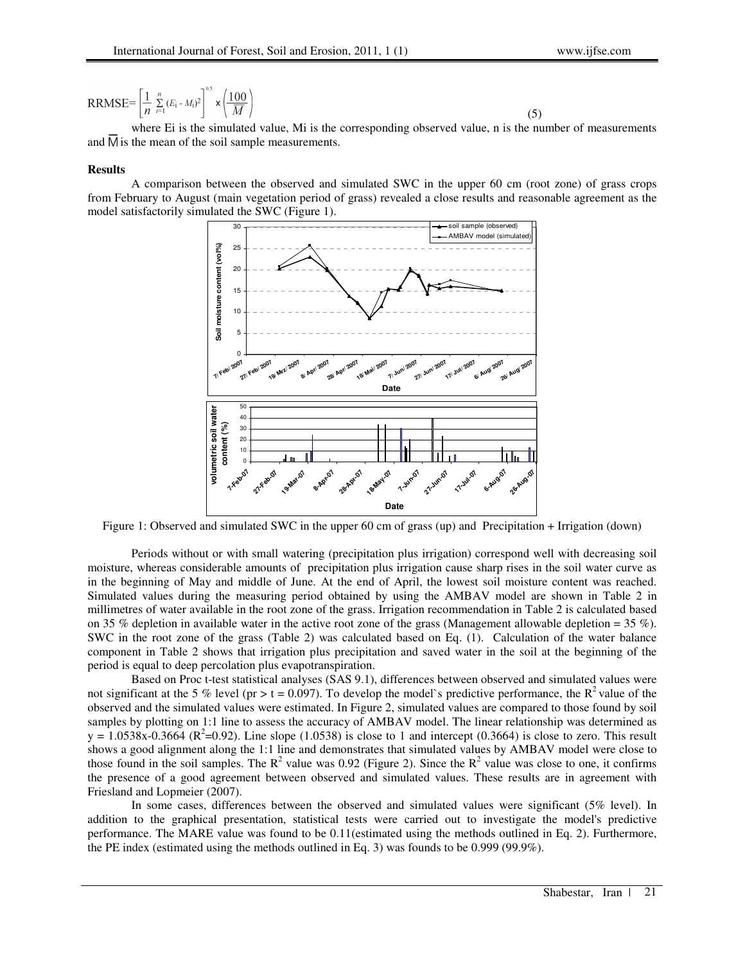$$
\text{RRMSE} = \left[\frac{1}{n}\sum_{i=1}^{n} (E_i - M_i)^2\right]^{1/3} \times \left(\frac{100}{\overline{M}}\right)
$$

 $(5)$ where Ei is the simulated value, Mi is the corresponding observed value, n is the number of measurements and  $\overline{M}$  is the mean of the soil sample measurements.

#### **Results**

A comparison between the observed and simulated SWC in the upper 60 cm (root zone) of grass crops from February to August (main vegetation period of grass) revealed a close results and reasonable agreement as the model satisfactorily simulated the SWC (Figure 1).



Figure 1: Observed and simulated SWC in the upper 60 cm of grass (up) and Precipitation + Irrigation (down)

Periods without or with small watering (precipitation plus irrigation) correspond well with decreasing soil moisture, whereas considerable amounts of precipitation plus irrigation cause sharp rises in the soil water curve as in the beginning of May and middle of June. At the end of April, the lowest soil moisture content was reached. Simulated values during the measuring period obtained by using the AMBAV model are shown in Table 2 in millimetres of water available in the root zone of the grass. Irrigation recommendation in Table 2 is calculated based on 35 % depletion in available water in the active root zone of the grass (Management allowable depletion = 35 %). SWC in the root zone of the grass (Table 2) was calculated based on Eq. (1). Calculation of the water balance component in Table 2 shows that irrigation plus precipitation and saved water in the soil at the beginning of the period is equal to deep percolation plus evapotranspiration.

Based on Proc t-test statistical analyses (SAS 9.1), differences between observed and simulated values were not significant at the 5 % level (pr > t = 0.097). To develop the model's predictive performance, the  $R^2$  value of the observed and the simulated values were estimated. In Figure 2, simulated values are compared to those found by soil samples by plotting on 1:1 line to assess the accuracy of AMBAV model. The linear relationship was determined as  $y = 1.0538x - 0.3664$  ( $R^2 = 0.92$ ). Line slope (1.0538) is close to 1 and intercept (0.3664) is close to zero. This result shows a good alignment along the 1:1 line and demonstrates that simulated values by AMBAV model were close to those found in the soil samples. The  $R^2$  value was 0.92 (Figure 2). Since the  $R^2$  value was close to one, it confirms the presence of a good agreement between observed and simulated values. These results are in agreement with Friesland and Lopmeier (2007).

In some cases, differences between the observed and simulated values were significant (5% level). In addition to the graphical presentation, statistical tests were carried out to investigate the model's predictive performance. The MARE value was found to be 0.11(estimated using the methods outlined in Eq. 2). Furthermore, the PE index (estimated using the methods outlined in Eq. 3) was founds to be 0.999 (99.9%).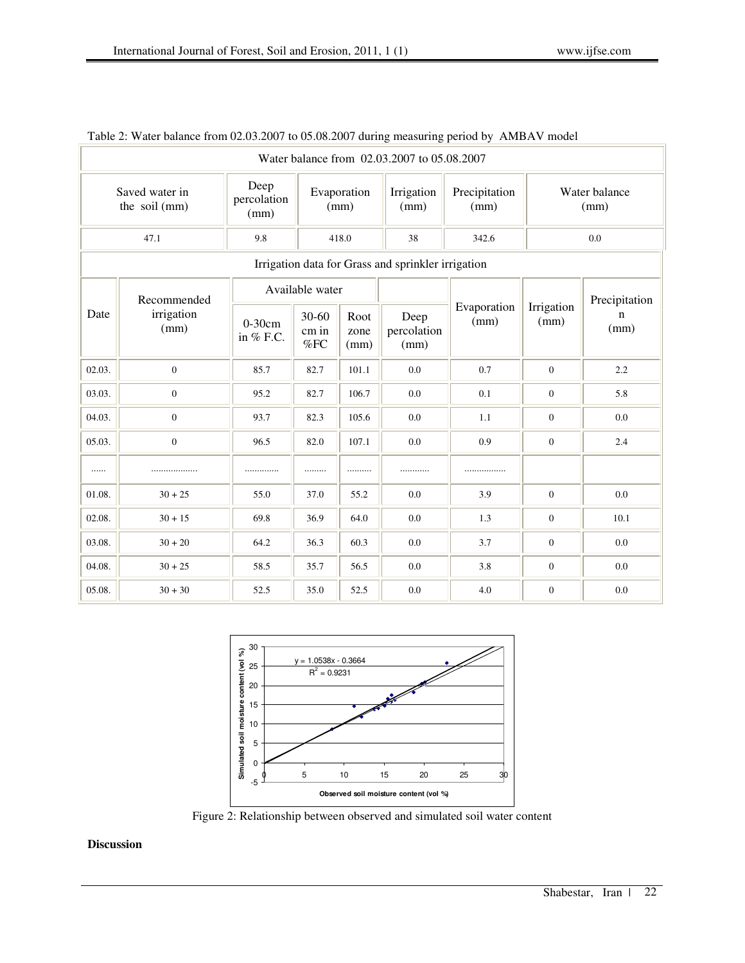| Water balance from 02.03.2007 to 05.08.2007        |                                   |                             |                           |                      |                             |                       |                       |           |  |  |
|----------------------------------------------------|-----------------------------------|-----------------------------|---------------------------|----------------------|-----------------------------|-----------------------|-----------------------|-----------|--|--|
| Saved water in<br>the soil (mm)                    |                                   | Deep<br>percolation<br>(mm) | Evaporation<br>(mm)       |                      | Irrigation<br>(mm)          | Precipitation<br>(mm) | Water balance<br>(mm) |           |  |  |
| 47.1                                               |                                   | 9.8                         | 418.0                     |                      | 38                          | 342.6                 | 0.0                   |           |  |  |
| Irrigation data for Grass and sprinkler irrigation |                                   |                             |                           |                      |                             |                       |                       |           |  |  |
| Date                                               | Recommended<br>irrigation<br>(mm) | Available water             |                           |                      |                             |                       | Precipitation         |           |  |  |
|                                                    |                                   | $0-30cm$<br>in % F.C.       | $30 - 60$<br>cm in<br>%FC | Root<br>zone<br>(mm) | Deep<br>percolation<br>(mm) | Evaporation<br>(mm)   | Irrigation<br>(mm)    | n<br>(mm) |  |  |
| 02.03.                                             | $\boldsymbol{0}$                  | 85.7                        | 82.7                      | 101.1                | 0.0                         | 0.7                   | $\mathbf{0}$          | 2.2       |  |  |
| 03.03.                                             | $\boldsymbol{0}$                  | 95.2                        | 82.7                      | 106.7                | 0.0                         | 0.1                   | $\mathbf{0}$          | 5.8       |  |  |
| 04.03.                                             | $\overline{0}$                    | 93.7                        | 82.3                      | 105.6                | 0.0                         | 1.1                   | $\theta$              | 0.0       |  |  |
| 05.03.                                             | $\overline{0}$                    | 96.5                        | 82.0                      | 107.1                | 0.0                         | 0.9                   | $\mathbf{0}$          | 2.4       |  |  |
| .                                                  |                                   | .                           |                           |                      |                             |                       |                       |           |  |  |
| 01.08.                                             | $30 + 25$                         | 55.0                        | 37.0                      | 55.2                 | 0.0                         | 3.9                   | $\mathbf{0}$          | 0.0       |  |  |
| 02.08.                                             | $30 + 15$                         | 69.8                        | 36.9                      | 64.0                 | 0.0                         | 1.3                   | $\theta$              | 10.1      |  |  |
| 03.08.                                             | $30 + 20$                         | 64.2                        | 36.3                      | 60.3                 | 0.0                         | 3.7                   | $\mathbf{0}$          | 0.0       |  |  |
| 04.08.                                             | $30 + 25$                         | 58.5                        | 35.7                      | 56.5                 | 0.0                         | 3.8                   | $\mathbf{0}$          | 0.0       |  |  |
| 05.08.                                             | $30 + 30$                         | 52.5                        | 35.0                      | 52.5                 | 0.0                         | 4.0                   | $\theta$              | 0.0       |  |  |

## Table 2: Water balance from 02.03.2007 to 05.08.2007 during measuring period by AMBAV model



Figure 2: Relationship between observed and simulated soil water content

## **Discussion**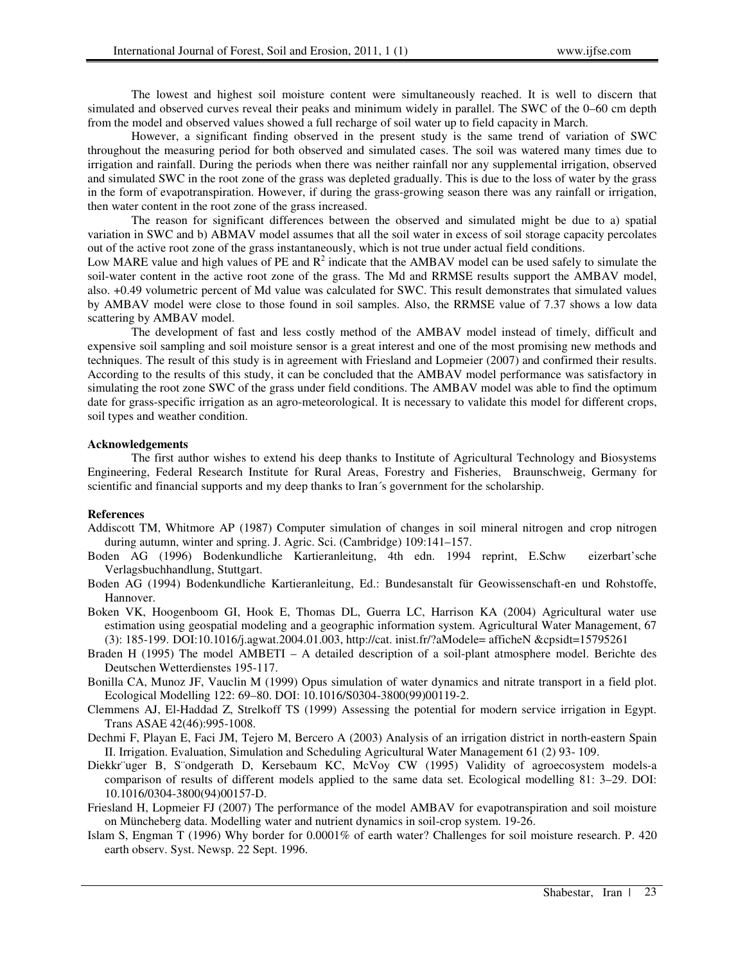The lowest and highest soil moisture content were simultaneously reached. It is well to discern that simulated and observed curves reveal their peaks and minimum widely in parallel. The SWC of the 0–60 cm depth from the model and observed values showed a full recharge of soil water up to field capacity in March.

However, a significant finding observed in the present study is the same trend of variation of SWC throughout the measuring period for both observed and simulated cases. The soil was watered many times due to irrigation and rainfall. During the periods when there was neither rainfall nor any supplemental irrigation, observed and simulated SWC in the root zone of the grass was depleted gradually. This is due to the loss of water by the grass in the form of evapotranspiration. However, if during the grass-growing season there was any rainfall or irrigation, then water content in the root zone of the grass increased.

The reason for significant differences between the observed and simulated might be due to a) spatial variation in SWC and b) ABMAV model assumes that all the soil water in excess of soil storage capacity percolates out of the active root zone of the grass instantaneously, which is not true under actual field conditions.

Low MARE value and high values of PE and  $R^2$  indicate that the AMBAV model can be used safely to simulate the soil-water content in the active root zone of the grass. The Md and RRMSE results support the AMBAV model, also. +0.49 volumetric percent of Md value was calculated for SWC. This result demonstrates that simulated values by AMBAV model were close to those found in soil samples. Also, the RRMSE value of 7.37 shows a low data scattering by AMBAV model.

The development of fast and less costly method of the AMBAV model instead of timely, difficult and expensive soil sampling and soil moisture sensor is a great interest and one of the most promising new methods and techniques. The result of this study is in agreement with Friesland and Lopmeier (2007) and confirmed their results. According to the results of this study, it can be concluded that the AMBAV model performance was satisfactory in simulating the root zone SWC of the grass under field conditions. The AMBAV model was able to find the optimum date for grass-specific irrigation as an agro-meteorological. It is necessary to validate this model for different crops, soil types and weather condition.

#### **Acknowledgements**

The first author wishes to extend his deep thanks to Institute of Agricultural Technology and Biosystems Engineering, Federal Research Institute for Rural Areas, Forestry and Fisheries, Braunschweig, Germany for scientific and financial supports and my deep thanks to Iran´s government for the scholarship.

#### **References**

- Addiscott TM, Whitmore AP (1987) Computer simulation of changes in soil mineral nitrogen and crop nitrogen during autumn, winter and spring. J. Agric. Sci. (Cambridge) 109:141–157.
- Boden AG (1996) Bodenkundliche Kartieranleitung, 4th edn. 1994 reprint, E.Schw eizerbart'sche Verlagsbuchhandlung, Stuttgart.
- Boden AG (1994) Bodenkundliche Kartieranleitung, Ed.: Bundesanstalt für Geowissenschaft-en und Rohstoffe, Hannover.

Boken VK, Hoogenboom GI, Hook E, Thomas DL, Guerra LC, Harrison KA (2004) Agricultural water use estimation using geospatial modeling and a geographic information system. Agricultural Water Management, 67 (3): 185-199. DOI:10.1016/j.agwat.2004.01.003, http://cat. inist.fr/?aModele= afficheN &cpsidt=15795261

Braden H (1995) The model AMBETI – A detailed description of a soil-plant atmosphere model. Berichte des Deutschen Wetterdienstes 195-117.

Bonilla CA, Munoz JF, Vauclin M (1999) Opus simulation of water dynamics and nitrate transport in a field plot. Ecological Modelling 122: 69–80. DOI: 10.1016/S0304-3800(99)00119-2.

- Clemmens AJ, El-Haddad Z, Strelkoff TS (1999) Assessing the potential for modern service irrigation in Egypt. Trans ASAE 42(46):995-1008.
- Dechmi F, Playan E, Faci JM, Tejero M, Bercero A (2003) Analysis of an irrigation district in north-eastern Spain II. Irrigation. Evaluation, Simulation and Scheduling Agricultural Water Management 61 (2) 93- 109.
- Diekkr¨uger B, S¨ondgerath D, Kersebaum KC, McVoy CW (1995) Validity of agroecosystem models-a comparison of results of different models applied to the same data set. Ecological modelling 81: 3–29. DOI: 10.1016/0304-3800(94)00157-D.
- Friesland H, Lopmeier FJ (2007) The performance of the model AMBAV for evapotranspiration and soil moisture on Müncheberg data. Modelling water and nutrient dynamics in soil-crop system. 19-26.
- Islam S, Engman T (1996) Why border for 0.0001% of earth water? Challenges for soil moisture research. P. 420 earth observ. Syst. Newsp. 22 Sept. 1996.